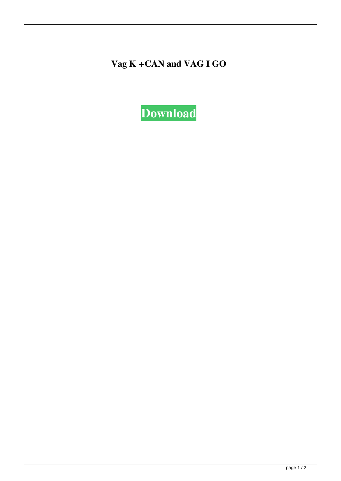**Vag K +CAN and VAG I GO**